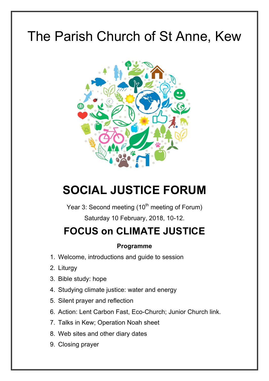# The Parish Church of St Anne, Kew



# **SOCIAL JUSTICE FORUM**

Year 3: Second meeting (10<sup>th</sup> meeting of Forum) Saturday 10 February, 2018, 10-12.

# **FOCUS on CLIMATE JUSTICE**

#### **Programme**

- 1. Welcome, introductions and guide to session
- 2. Liturgy
- 3. Bible study: hope
- 4. Studying climate justice: water and energy
- 5. Silent prayer and reflection
- 6. Action: Lent Carbon Fast, Eco-Church; Junior Church link.
- 7. Talks in Kew; Operation Noah sheet
- 8. Web sites and other diary dates
- 9. Closing prayer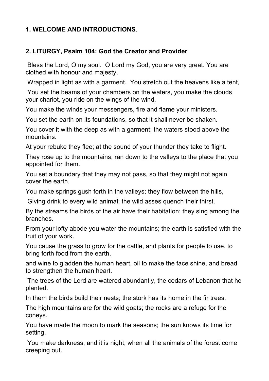# **1. WELCOME AND INTRODUCTIONS**.

#### **2. LITURGY, Psalm 104: God the Creator and Provider**

 Bless the Lord, O my soul. O Lord my God, you are very great. You are clothed with honour and majesty,

Wrapped in light as with a garment. You stretch out the heavens like a tent,

 You set the beams of your chambers on the waters, you make the clouds your chariot, you ride on the wings of the wind,

You make the winds your messengers, fire and flame your ministers.

You set the earth on its foundations, so that it shall never be shaken.

You cover it with the deep as with a garment; the waters stood above the mountains.

At your rebuke they flee; at the sound of your thunder they take to flight.

They rose up to the mountains, ran down to the valleys to the place that you appointed for them.

You set a boundary that they may not pass, so that they might not again cover the earth.

You make springs gush forth in the valleys; they flow between the hills,

Giving drink to every wild animal; the wild asses quench their thirst.

By the streams the birds of the air have their habitation; they sing among the branches.

From your lofty abode you water the mountains; the earth is satisfied with the fruit of your work.

You cause the grass to grow for the cattle, and plants for people to use, to bring forth food from the earth,

and wine to gladden the human heart, oil to make the face shine, and bread to strengthen the human heart.

The trees of the Lord are watered abundantly, the cedars of Lebanon that he planted.

In them the birds build their nests; the stork has its home in the fir trees.

The high mountains are for the wild goats; the rocks are a refuge for the coneys.

You have made the moon to mark the seasons; the sun knows its time for setting.

You make darkness, and it is night, when all the animals of the forest come creeping out.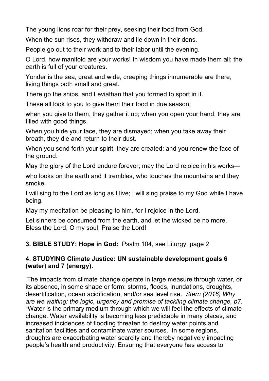The young lions roar for their prey, seeking their food from God.

When the sun rises, they withdraw and lie down in their dens.

People go out to their work and to their labor until the evening.

O Lord, how manifold are your works! In wisdom you have made them all; the earth is full of your creatures.

Yonder is the sea, great and wide, creeping things innumerable are there, living things both small and great.

There go the ships, and Leviathan that you formed to sport in it.

These all look to you to give them their food in due season;

when you give to them, they gather it up; when you open your hand, they are filled with good things.

When you hide your face, they are dismayed; when you take away their breath, they die and return to their dust.

When you send forth your spirit, they are created; and you renew the face of the ground.

May the glory of the Lord endure forever; may the Lord rejoice in his works—

who looks on the earth and it trembles, who touches the mountains and they smoke.

I will sing to the Lord as long as I live; I will sing praise to my God while I have being.

May my meditation be pleasing to him, for I rejoice in the Lord.

Let sinners be consumed from the earth, and let the wicked be no more. Bless the Lord, O my soul. Praise the Lord!

**3. BIBLE STUDY: Hope in God:** Psalm 104, see Liturgy, page 2

#### **4. STUDYING Climate Justice: UN sustainable development goals 6 (water) and 7 (energy).**

'The impacts from climate change operate in large measure through water, or its absence, in some shape or form: storms, floods, inundations, droughts, desertification, ocean acidification, and/or sea level rise. *Stern (2016) Why are we waiting: the logic, urgency and promise of tackling climate change, p7.* "Water is the primary medium through which we will feel the effects of climate change. Water availability is becoming less predictable in many places, and increased incidences of flooding threaten to destroy water points and sanitation facilities and contaminate water sources. In some regions, droughts are exacerbating water scarcity and thereby negatively impacting people's health and productivity. Ensuring that everyone has access to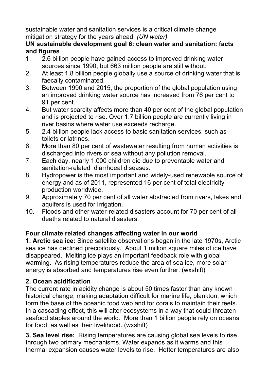sustainable water and sanitation services is a critical climate change mitigation strategy for the years ahead. *(UN water)*

#### **UN sustainable development goal 6: clean water and sanitation: facts and figures**

- 1. 2.6 billion people have gained access to improved drinking water sources since 1990, but 663 million people are still without.
- 2. At least 1.8 billion people globally use a source of drinking water that is faecally contaminated.
- 3. Between 1990 and 2015, the proportion of the global population using an improved drinking water source has increased from 76 per cent to 91 per cent.
- 4. But water scarcity affects more than 40 per cent of the global population and is projected to rise. Over 1.7 billion people are currently living in river basins where water use exceeds recharge.
- 5. 2.4 billion people lack access to basic sanitation services, such as toilets or latrines.
- 6. More than 80 per cent of wastewater resulting from human activities is discharged into rivers or sea without any pollution removal.
- 7. Each day, nearly 1,000 children die due to preventable water and sanitation-related diarrhoeal diseases.
- 8. Hydropower is the most important and widely-used renewable source of energy and as of 2011, represented 16 per cent of total electricity production worldwide.
- 9. Approximately 70 per cent of all water abstracted from rivers, lakes and aquifers is used for irrigation.
- 10. Floods and other water-related disasters account for 70 per cent of all deaths related to natural disasters.

# **Four climate related changes affecting water in our world**

**1. Arctic sea ice:** Since satellite observations began in the late 1970s, Arctic sea ice has declined precipitously. About 1 million square miles of ice have disappeared. Melting ice plays an important feedback role with global warming. As rising temperatures reduce the area of sea ice, more solar energy is absorbed and temperatures rise even further. (wxshift)

# **2. Ocean acidification**

The current rate in acidity change is about 50 times faster than any known historical change, making adaptation difficult for marine life, plankton, which form the base of the oceanic food web and for corals to maintain their reefs. In a cascading effect, this will alter ecosystems in a way that could threaten seafood staples around the world. More than 1 billion people rely on oceans for food, as well as their livelihood. (wxshift)

**3. Sea level rise:** Rising temperatures are causing global sea levels to rise through two primary mechanisms. Water expands as it warms and this thermal expansion causes water levels to rise. Hotter temperatures are also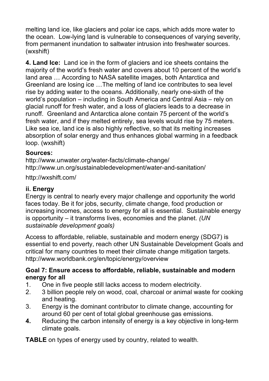melting land ice, like glaciers and polar ice caps, which adds more water to the ocean. Low-lying land is vulnerable to consequences of varying severity, from permanent inundation to saltwater intrusion into freshwater sources. (wxshift)

**4. Land Ice:** Land ice in the form of glaciers and ice sheets contains the majority of the world's fresh water and covers about 10 percent of the world's land area … According to NASA satellite images, both Antarctica and Greenland are losing ice …The melting of land ice contributes to sea level rise by adding water to the oceans. Additionally, nearly one-sixth of the world's population – including in South America and Central Asia – rely on glacial runoff for fresh water, and a loss of glaciers leads to a decrease in runoff. Greenland and Antarctica alone contain 75 percent of the world's fresh water, and if they melted entirely, sea levels would rise by 75 meters. Like sea ice, land ice is also highly reflective, so that its melting increases absorption of solar energy and thus enhances global warming in a feedback loop. (wxshift)

#### **Sources:**

http://www.unwater.org/water-facts/climate-change/ http://www.un.org/sustainabledevelopment/water-and-sanitation/

http://wxshift.com/

### **ii. Energy**

Energy is central to nearly every major challenge and opportunity the world faces today. Be it for jobs, security, climate change, food production or increasing incomes, access to energy for all is essential. Sustainable energy is opportunity – it transforms lives, economies and the planet. *(UN sustainable development goals)*

Access to affordable, reliable, sustainable and modern energy (SDG7) is essential to end poverty, reach other UN Sustainable Development Goals and critical for many countries to meet their climate change mitigation targets. http://www.worldbank.org/en/topic/energy/overview

#### **Goal 7: Ensure access to affordable, reliable, sustainable and modern energy for all**

- 1. One in five people still lacks access to modern electricity.
- 2. 3 billion people rely on wood, coal, charcoal or animal waste for cooking and heating.
- 3. Energy is the dominant contributor to climate change, accounting for around 60 per cent of total global greenhouse gas emissions.
- **4.** Reducing the carbon intensity of energy is a key objective in long-term climate goals.

**TABLE** on types of energy used by country, related to wealth.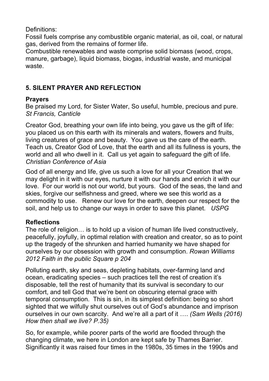Definitions:

Fossil fuels comprise any combustible organic material, as oil, coal, or natural gas, derived from the remains of former life.

Combustible renewables and waste comprise solid biomass (wood, crops, manure, garbage), liquid biomass, biogas, industrial waste, and municipal waste.

# **5. SILENT PRAYER AND REFLECTION**

### **Prayers**

Be praised my Lord, for Sister Water, So useful, humble, precious and pure. *St Francis, Canticle*

Creator God, breathing your own life into being, you gave us the gift of life: you placed us on this earth with its minerals and waters, flowers and fruits, living creatures of grace and beauty. You gave us the care of the earth. Teach us, Creator God of Love, that the earth and all its fullness is yours, the world and all who dwell in it. Call us yet again to safeguard the gift of life*. Christian Conference of Asia*

God of all energy and life, give us such a love for all your Creation that we may delight in it with our eyes, nurture it with our hands and enrich it with our love. For our world is not our world, but yours. God of the seas, the land and skies, forgive our selfishness and greed, where we see this world as a commodity to use. Renew our love for the earth, deepen our respect for the soil, and help us to change our ways in order to save this planet. *USPG*

# **Reflections**

The role of religion… is to hold up a vision of human life lived constructively, peacefully, joyfully, in optimal relation with creation and creator, so as to point up the tragedy of the shrunken and harried humanity we have shaped for ourselves by our obsession with growth and consumption. *Rowan Williams 2012 Faith in the public Square p 204* 

Polluting earth, sky and seas, depleting habitats, over-farming land and ocean, eradicating species – such practices tell the rest of creation it's disposable, tell the rest of humanity that its survival is secondary to our comfort, and tell God that we're bent on obscuring eternal grace with temporal consumption. This is sin, in its simplest definition: being so short sighted that we wilfully shut ourselves out of God's abundance and imprison ourselves in our own scarcity. And we're all a part of it …. *(Sam Wells (2016) How then shall we live? P.35)*

So, for example, while poorer parts of the world are flooded through the changing climate, we here in London are kept safe by Thames Barrier. Significantly it was raised four times in the 1980s, 35 times in the 1990s and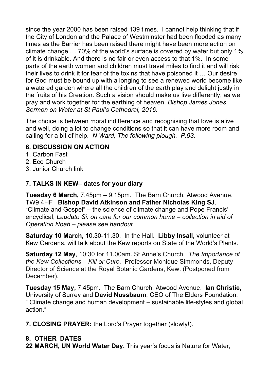since the year 2000 has been raised 139 times. I cannot help thinking that if the City of London and the Palace of Westminster had been flooded as many times as the Barrier has been raised there might have been more action on climate change … 70% of the world's surface is covered by water but only 1% of it is drinkable. And there is no fair or even access to that 1%. In some parts of the earth women and children must travel miles to find it and will risk their lives to drink it for fear of the toxins that have poisoned it … Our desire for God must be bound up with a longing to see a renewed world become like a watered garden where all the children of the earth play and delight justly in the fruits of his Creation. Such a vision should make us live differently, as we pray and work together for the earthing of heaven. *Bishop James Jones, Sermon on Water at St Paul's Cathedral, 2016.* 

The choice is between moral indifference and recognising that love is alive and well, doing a lot to change conditions so that it can have more room and calling for a bit of help*. N Ward, The following plough. P.93.* 

#### **6. DISCUSSION ON ACTION**

- 1. Carbon Fast
- 2. Eco Church
- 3. Junior Church link

#### **7. TALKS IN KEW– dates for your diary**

**Tuesday 6 March,** 7.45pm – 9.15pm. The Barn Church, Atwood Avenue. TW9 4HF **Bishop David Atkinson and Father Nicholas King SJ**. "Climate and Gospel" – the science of climate change and Pope Francis' encyclical, *Laudato Si: on care for our common home – collection in aid of Operation Noah – please see handout*

**Saturday 10 March,** 10.30-11.30. In the Hall. **Libby Insall,** volunteer at Kew Gardens, will talk about the Kew reports on State of the World's Plants.

**Saturday 12 May**, 10:30 for 11.00am. St Anne's Church. *The Importance of the Kew Collections – Kill or Cure.* Professor Monique Simmonds, Deputy Director of Science at the Royal Botanic Gardens, Kew. (Postponed from December).

**Tuesday 15 May,** 7.45pm. The Barn Church, Atwood Avenue. **Ian Christie,** University of Surrey and **David Nussbaum**, CEO of The Elders Foundation. " Climate change and human development – sustainable life-styles and global action."

**7. CLOSING PRAYER:** the Lord's Prayer together (slowly!).

#### **8. OTHER DATES**

**22 MARCH, UN World Water Day.** This year's focus is Nature for Water,